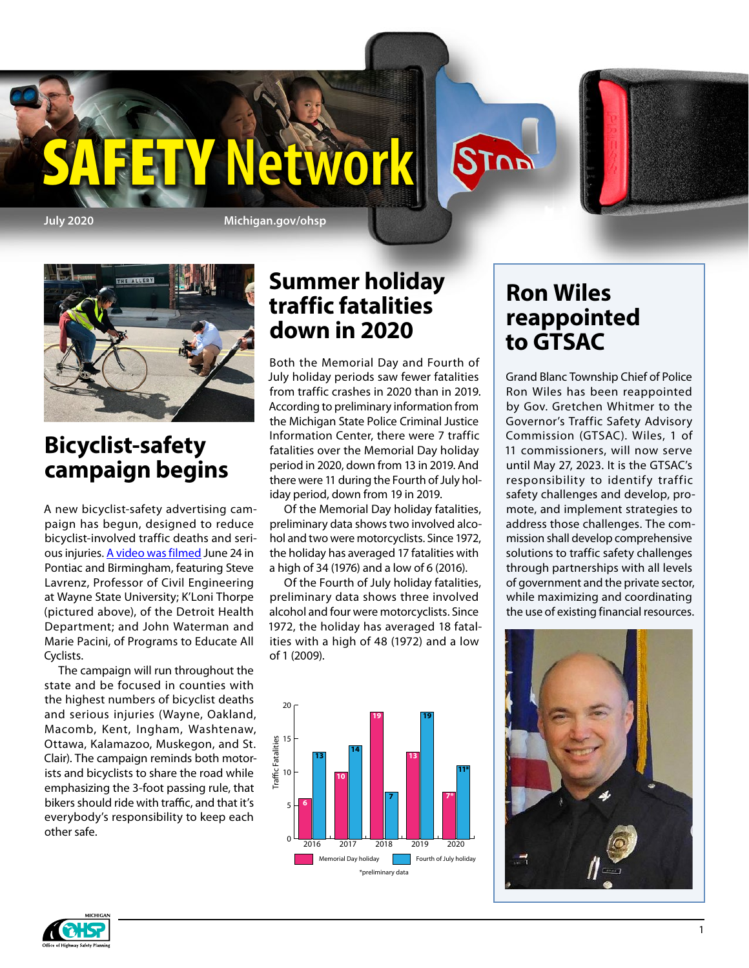**July 2020 Michigan.gov/ohsp**

Y'Network



### **Bicyclist-safety campaign begins**

A new bicyclist-safety advertising campaign has begun, designed to reduce bicyclist-involved traffic deaths and serious injuries. [A video was filmed](https://www.youtube.com/watch?v=R0J13dHdo3k) June 24 in Pontiac and Birmingham, featuring Steve Lavrenz, Professor of Civil Engineering at Wayne State University; K'Loni Thorpe (pictured above), of the Detroit Health Department; and John Waterman and Marie Pacini, of Programs to Educate All Cyclists.

The campaign will run throughout the state and be focused in counties with the highest numbers of bicyclist deaths and serious injuries (Wayne, Oakland, Macomb, Kent, Ingham, Washtenaw, Ottawa, Kalamazoo, Muskegon, and St. Clair). The campaign reminds both motorists and bicyclists to share the road while emphasizing the 3-foot passing rule, that bikers should ride with traffic, and that it's everybody's responsibility to keep each other safe.

### **Summer holiday traffic fatalities down in 2020**

Both the Memorial Day and Fourth of July holiday periods saw fewer fatalities from traffic crashes in 2020 than in 2019. According to preliminary information from the Michigan State Police Criminal Justice Information Center, there were 7 traffic fatalities over the Memorial Day holiday period in 2020, down from 13 in 2019. And there were 11 during the Fourth of July holiday period, down from 19 in 2019.

Of the Memorial Day holiday fatalities, preliminary data shows two involved alcohol and two were motorcyclists. Since 1972, the holiday has averaged 17 fatalities with a high of 34 (1976) and a low of 6 (2016).

Of the Fourth of July holiday fatalities, preliminary data shows three involved alcohol and four were motorcyclists. Since 1972, the holiday has averaged 18 fatalities with a high of 48 (1972) and a low of 1 (2009).



### **Ron Wiles reappointed to GTSAC**

STOP

Grand Blanc Township Chief of Police Ron Wiles has been reappointed by Gov. Gretchen Whitmer to the Governor's Traffic Safety Advisory Commission (GTSAC). Wiles, 1 of 11 commissioners, will now serve until May 27, 2023. It is the GTSAC's responsibility to identify traffic safety challenges and develop, promote, and implement strategies to address those challenges. The commission shall develop comprehensive solutions to traffic safety challenges through partnerships with all levels of government and the private sector, while maximizing and coordinating the use of existing financial resources.



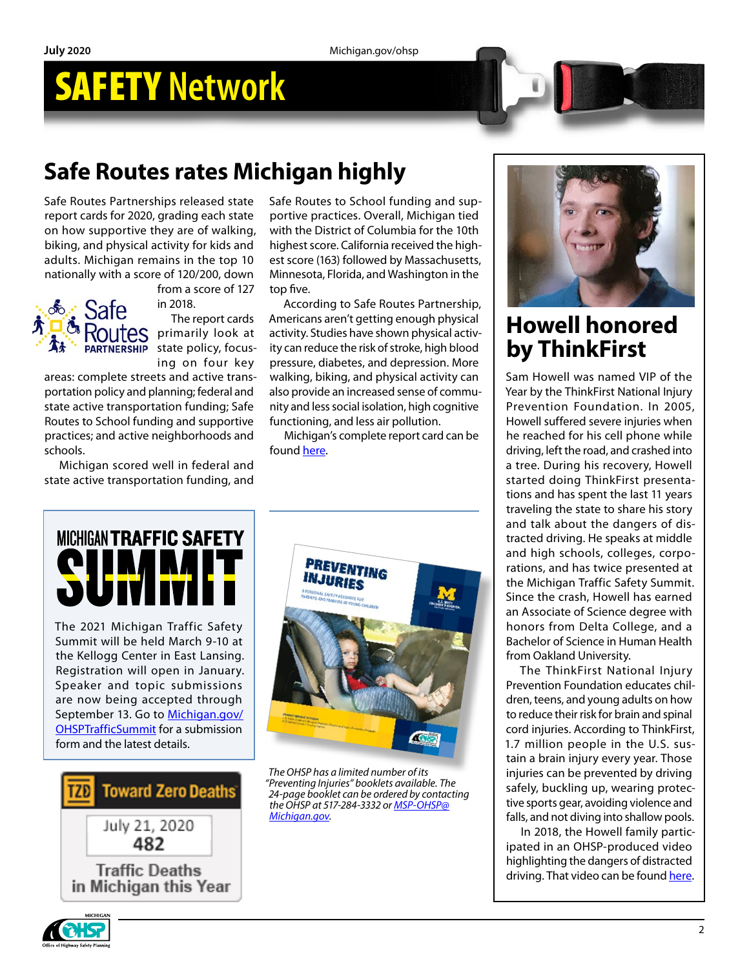## SAFETY **Network**

## **Safe Routes rates Michigan highly**

Safe Routes Partnerships released state report cards for 2020, grading each state on how supportive they are of walking, biking, and physical activity for kids and adults. Michigan remains in the top 10 nationally with a score of 120/200, down



from a score of 127 in 2018.

The report cards primarily look at state policy, focusing on four key

areas: complete streets and active transportation policy and planning; federal and state active transportation funding; Safe Routes to School funding and supportive practices; and active neighborhoods and schools.

Michigan scored well in federal and state active transportation funding, and Safe Routes to School funding and supportive practices. Overall, Michigan tied with the District of Columbia for the 10th highest score. California received the highest score (163) followed by Massachusetts, Minnesota, Florida, and Washington in the top five.

According to Safe Routes Partnership, Americans aren't getting enough physical activity. Studies have shown physical activity can reduce the risk of stroke, high blood pressure, diabetes, and depression. More walking, biking, and physical activity can also provide an increased sense of community and less social isolation, high cognitive functioning, and less air pollution.

Michigan's complete report card can be found [here](https://www.saferoutespartnership.org/sites/default/files/srp-report-card-2020/srp-report-card-2020-michigan.pdf).



The 2021 Michigan Traffic Safety Summit will be held March 9-10 at the Kellogg Center in East Lansing. Registration will open in January. Speaker and topic submissions are now being accepted through September 13. Go to [Michigan.gov/](http://Michigan.gov/OHSPTrafficSummit) [OHSPTrafficSummit](http://Michigan.gov/OHSPTrafficSummit) for a submission form and the latest details.





*The OHSP has a limited number of its "Preventing Injuries" booklets available. The 24-page booklet can be ordered by contacting the OHSP at 517-284-3332 or [MSP-OHSP@](mailto:MSP-OHSP%40Michigan.gov?subject=) [Michigan.gov](mailto:MSP-OHSP%40Michigan.gov?subject=).*



### **Howell honored by ThinkFirst**

Sam Howell was named VIP of the Year by the ThinkFirst National Injury Prevention Foundation. In 2005, Howell suffered severe injuries when he reached for his cell phone while driving, left the road, and crashed into a tree. During his recovery, Howell started doing ThinkFirst presentations and has spent the last 11 years traveling the state to share his story and talk about the dangers of distracted driving. He speaks at middle and high schools, colleges, corporations, and has twice presented at the Michigan Traffic Safety Summit. Since the crash, Howell has earned an Associate of Science degree with honors from Delta College, and a Bachelor of Science in Human Health from Oakland University.

The ThinkFirst National Injury Prevention Foundation educates children, teens, and young adults on how to reduce their risk for brain and spinal cord injuries. According to ThinkFirst, 1.7 million people in the U.S. sustain a brain injury every year. Those injuries can be prevented by driving safely, buckling up, wearing protective sports gear, avoiding violence and falls, and not diving into shallow pools.

In 2018, the Howell family participated in an OHSP-produced video highlighting the dangers of distracted driving. That video can be found [here.](https://www.youtube.com/watch?v=FtL8klB90Y8&t)

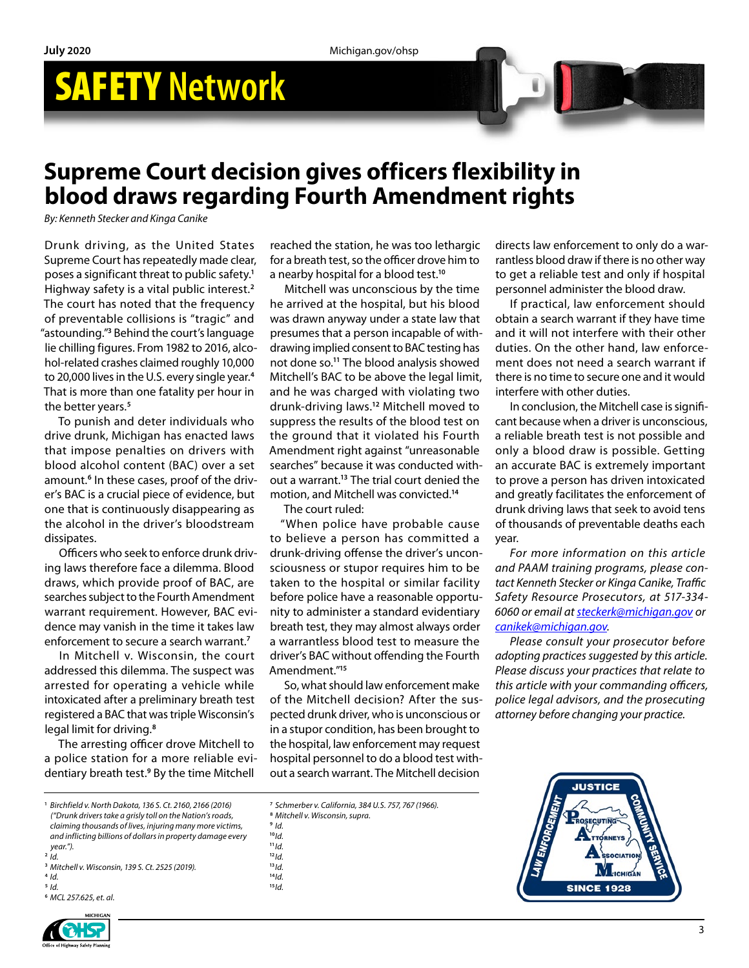**July 2020** Michigan.gov/ohsp

# SAFETY **Network**

### **Supreme Court decision gives officers flexibility in blood draws regarding Fourth Amendment rights**

*By: Kenneth Stecker and Kinga Canike*

Drunk driving, as the United States Supreme Court has repeatedly made clear, poses a significant threat to public safety.**<sup>1</sup>** Highway safety is a vital public interest.**<sup>2</sup>** The court has noted that the frequency of preventable collisions is "tragic" and "astounding."**<sup>3</sup>** Behind the court's language lie chilling figures. From 1982 to 2016, alcohol-related crashes claimed roughly 10,000 to 20,000 lives in the U.S. every single year.**<sup>4</sup>** That is more than one fatality per hour in the better years.**<sup>5</sup>**

To punish and deter individuals who drive drunk, Michigan has enacted laws that impose penalties on drivers with blood alcohol content (BAC) over a set amount.<sup>6</sup> In these cases, proof of the driver's BAC is a crucial piece of evidence, but one that is continuously disappearing as the alcohol in the driver's bloodstream dissipates.

Officers who seek to enforce drunk driving laws therefore face a dilemma. Blood draws, which provide proof of BAC, are searches subject to the Fourth Amendment warrant requirement. However, BAC evidence may vanish in the time it takes law enforcement to secure a search warrant.**<sup>7</sup>**

In Mitchell v. Wisconsin, the court addressed this dilemma. The suspect was arrested for operating a vehicle while intoxicated after a preliminary breath test registered a BAC that was triple Wisconsin's legal limit for driving.**<sup>8</sup>**

The arresting officer drove Mitchell to a police station for a more reliable evidentiary breath test.**<sup>9</sup>** By the time Mitchell

**<sup>1</sup>** *Birchfield v. North Dakota, 136 S. Ct. 2160, 2166 (2016) ("Drunk drivers take a grisly toll on the Nation's roads, claiming thousands of lives, injuring many more victims, and inflicting billions of dollars in property damage every year.").* **<sup>2</sup>** *Id.*

- **<sup>3</sup>** *Mitchell v. Wisconsin, 139 S. Ct. 2525 (2019).*
- **<sup>4</sup>** *Id.* **<sup>5</sup>** *Id.*
- **<sup>6</sup>** *MCL 257.625, et. al.*

reached the station, he was too lethargic for a breath test, so the officer drove him to a nearby hospital for a blood test.**<sup>10</sup>**

Mitchell was unconscious by the time he arrived at the hospital, but his blood was drawn anyway under a state law that presumes that a person incapable of withdrawing implied consent to BAC testing has not done so.**<sup>11</sup>** The blood analysis showed Mitchell's BAC to be above the legal limit, and he was charged with violating two drunk-driving laws.**<sup>12</sup>** Mitchell moved to suppress the results of the blood test on the ground that it violated his Fourth Amendment right against "unreasonable searches" because it was conducted without a warrant.**<sup>13</sup>** The trial court denied the motion, and Mitchell was convicted.**<sup>14</sup>**

The court ruled:

"When police have probable cause to believe a person has committed a drunk-driving offense the driver's unconsciousness or stupor requires him to be taken to the hospital or similar facility before police have a reasonable opportunity to administer a standard evidentiary breath test, they may almost always order a warrantless blood test to measure the driver's BAC without offending the Fourth Amendment."**<sup>15</sup>**

So, what should law enforcement make of the Mitchell decision? After the suspected drunk driver, who is unconscious or in a stupor condition, has been brought to the hospital, law enforcement may request hospital personnel to do a blood test without a search warrant. The Mitchell decision

**<sup>8</sup>** *Mitchell v. Wisconsin, supra.*

- **<sup>11</sup>***Id.*
- **<sup>12</sup>***Id.*
- **<sup>13</sup>***Id.*
- **<sup>14</sup>***Id.*
- **15***Id.*

directs law enforcement to only do a warrantless blood draw if there is no other way to get a reliable test and only if hospital personnel administer the blood draw.

If practical, law enforcement should obtain a search warrant if they have time and it will not interfere with their other duties. On the other hand, law enforcement does not need a search warrant if there is no time to secure one and it would interfere with other duties.

In conclusion, the Mitchell case is significant because when a driver is unconscious, a reliable breath test is not possible and only a blood draw is possible. Getting an accurate BAC is extremely important to prove a person has driven intoxicated and greatly facilitates the enforcement of drunk driving laws that seek to avoid tens of thousands of preventable deaths each year.

*For more information on this article and PAAM training programs, please contact Kenneth Stecker or Kinga Canike, Traffic Safety Resource Prosecutors, at 517-334- 6060 or email at [steckerk@michigan.gov](mailto:steckerk%40michigan.gov?subject=) or [canikek@michigan.gov](mailto:canikek%40michigan.gov?subject=).*

*Please consult your prosecutor before adopting practices suggested by this article. Please discuss your practices that relate to this article with your commanding officers, police legal advisors, and the prosecuting attorney before changing your practice.*





**<sup>7</sup>** *Schmerber v. California, 384 U.S. 757, 767 (1966).*

**<sup>9</sup>** *Id.* **<sup>10</sup>***Id.*